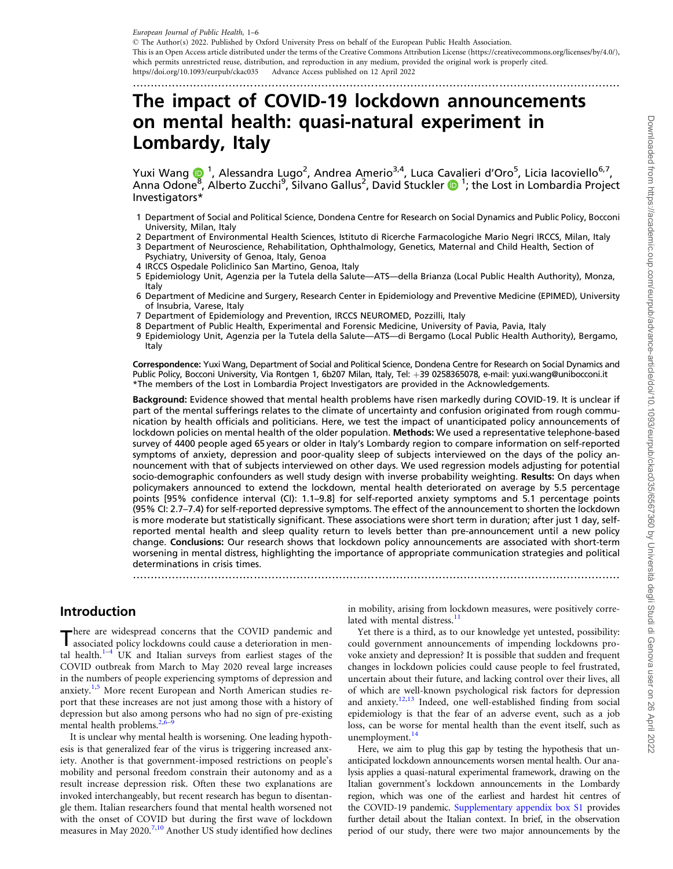<span id="page-0-0"></span>European Journal of Public Health, 1–6

- The Author(s) 2022. Published by Oxford University Press on behalf of the European Public Health Association. This is an Open Access article distributed under the terms of the Creative Commons Attribution License (https://creativecommons.org/licenses/by/4.0/), which permits unrestricted reuse, distribution, and reproduction in any medium, provided the original work is properly cited. https//doi.org/10.1093/eurpub/ckac035 Advance Access published on 12 April 2022

.........................................................................................................................................

# The impact of COVID-19 lockdown announcements on mental health: quasi-natural experiment in Lombardy, Italy

Yuxi Wang 1, Alessandra Lugo<sup>2</sup>, Andrea Amerio<sup>3,4</sup>, Luca Cavalieri d'Oro<sup>5</sup>, Licia Iacoviello<sup>6,7</sup>, Anna Odone<sup>[8](https://orcid.org/0000-0002-9897-7316)</sup>, Alberto Zucchi<sup>9</sup>, Silvano Gallus<sup>2</sup>, David Stuckler (D<sup>1</sup>; the Lost in Lombardia Project Investigators\*

- 1 Department of Social and Political Science, Dondena Centre for Research on Social Dynamics and Public Policy, Bocconi University, Milan, Italy
- 2 Department of Environmental Health Sciences, Istituto di Ricerche Farmacologiche Mario Negri IRCCS, Milan, Italy
- 3 Department of Neuroscience, Rehabilitation, Ophthalmology, Genetics, Maternal and Child Health, Section of Psychiatry, University of Genoa, Italy, Genoa
- 4 IRCCS Ospedale Policlinico San Martino, Genoa, Italy
- 5 Epidemiology Unit, Agenzia per la Tutela della Salute—ATS—della Brianza (Local Public Health Authority), Monza, Italy
- 6 Department of Medicine and Surgery, Research Center in Epidemiology and Preventive Medicine (EPIMED), University of Insubria, Varese, Italy
- 7 Department of Epidemiology and Prevention, IRCCS NEUROMED, Pozzilli, Italy
- 8 Department of Public Health, Experimental and Forensic Medicine, University of Pavia, Pavia, Italy
- 9 Epidemiology Unit, Agenzia per la Tutela della Salute—ATS—di Bergamo (Local Public Health Authority), Bergamo, Italy

Correspondence: Yuxi Wang, Department of Social and Political Science, Dondena Centre for Research on Social Dynamics and Public Policy, Bocconi University, Via Rontgen 1, 6b207 Milan, Italy, Tel: +39 0258365078, e-mail: yuxi.wang@unibocconi.it \*The members of the Lost in Lombardia Project Investigators are provided in the Acknowledgements.

Background: Evidence showed that mental health problems have risen markedly during COVID-19. It is unclear if part of the mental sufferings relates to the climate of uncertainty and confusion originated from rough communication by health officials and politicians. Here, we test the impact of unanticipated policy announcements of lockdown policies on mental health of the older population. Methods: We used a representative telephone-based survey of 4400 people aged 65 years or older in Italy's Lombardy region to compare information on self-reported symptoms of anxiety, depression and poor-quality sleep of subjects interviewed on the days of the policy announcement with that of subjects interviewed on other days. We used regression models adjusting for potential socio-demographic confounders as well study design with inverse probability weighting. Results: On days when policymakers announced to extend the lockdown, mental health deteriorated on average by 5.5 percentage points [95% confidence interval (CI): 1.1–9.8] for self-reported anxiety symptoms and 5.1 percentage points (95% CI: 2.7–7.4) for self-reported depressive symptoms. The effect of the announcement to shorten the lockdown is more moderate but statistically significant. These associations were short term in duration; after just 1 day, selfreported mental health and sleep quality return to levels better than pre-announcement until a new policy change. Conclusions: Our research shows that lockdown policy announcements are associated with short-term worsening in mental distress, highlighting the importance of appropriate communication strategies and political determinations in crisis times.

.........................................................................................................................................

## Introduction

There are widespread concerns that the COVID pandemic and associated policy lockdowns could cause a deterioration in mental health. $1-4$  UK and Italian surveys from earliest stages of the COVID outbreak from March to May 2020 reveal large increases in the numbers of people experiencing symptoms of depression and anxiety.<sup>[1](#page-5-0),[5](#page-5-0)</sup> More recent European and North American studies report that these increases are not just among those with a history of depression but also among persons who had no sign of pre-existing mental health problems.<sup>2</sup>

It is unclear why mental health is worsening. One leading hypothesis is that generalized fear of the virus is triggering increased anxiety. Another is that government-imposed restrictions on people's mobility and personal freedom constrain their autonomy and as a result increase depression risk. Often these two explanations are invoked interchangeably, but recent research has begun to disentangle them. Italian researchers found that mental health worsened not with the onset of COVID but during the first wave of lockdown measures in May 2020.<sup>[7](#page-5-0),[10](#page-5-0)</sup> Another US study identified how declines in mobility, arising from lockdown measures, were positively correlated with mental distress. $<sup>11</sup>$  $<sup>11</sup>$  $<sup>11</sup>$ </sup>

Yet there is a third, as to our knowledge yet untested, possibility: could government announcements of impending lockdowns provoke anxiety and depression? It is possible that sudden and frequent changes in lockdown policies could cause people to feel frustrated, uncertain about their future, and lacking control over their lives, all of which are well-known psychological risk factors for depression and anxiety.<sup>[12](#page-5-0),[13](#page-5-0)</sup> Indeed, one well-established finding from social epidemiology is that the fear of an adverse event, such as a job loss, can be worse for mental health than the event itself, such as unemployment.<sup>[14](#page-5-0)</sup>

Here, we aim to plug this gap by testing the hypothesis that unanticipated lockdown announcements worsen mental health. Our analysis applies a quasi-natural experimental framework, drawing on the Italian government's lockdown announcements in the Lombardy region, which was one of the earliest and hardest hit centres of the COVID-19 pandemic. [Supplementary appendix box S1](https://academic.oup.com/eurpub/article-lookup/doi/10.1093/eurpub/ckac035#supplementary-data) provides further detail about the Italian context. In brief, in the observation period of our study, there were two major announcements by the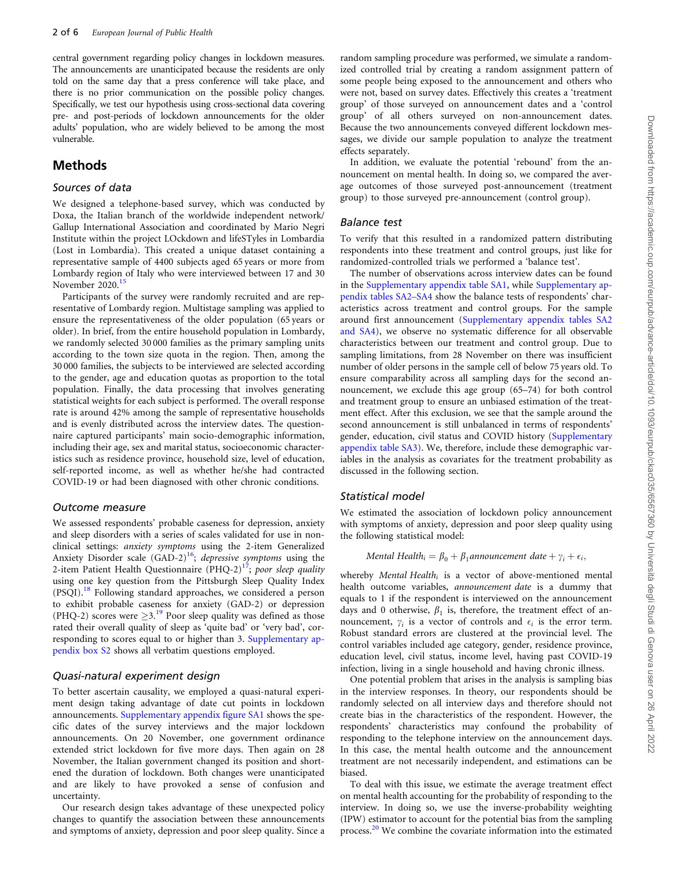<span id="page-1-0"></span>central government regarding policy changes in lockdown measures. The announcements are unanticipated because the residents are only told on the same day that a press conference will take place, and there is no prior communication on the possible policy changes. Specifically, we test our hypothesis using cross-sectional data covering pre- and post-periods of lockdown announcements for the older adults' population, who are widely believed to be among the most vulnerable.

## Methods

#### Sources of data

We designed a telephone-based survey, which was conducted by Doxa, the Italian branch of the worldwide independent network/ Gallup International Association and coordinated by Mario Negri Institute within the project LOckdown and lifeSTyles in Lombardia (Lost in Lombardia). This created a unique dataset containing a representative sample of 4400 subjects aged 65 years or more from Lombardy region of Italy who were interviewed between 17 and 30 November 2020.<sup>15</sup>

Participants of the survey were randomly recruited and are representative of Lombardy region. Multistage sampling was applied to ensure the representativeness of the older population (65 years or older). In brief, from the entire household population in Lombardy, we randomly selected 30 000 families as the primary sampling units according to the town size quota in the region. Then, among the 30 000 families, the subjects to be interviewed are selected according to the gender, age and education quotas as proportion to the total population. Finally, the data processing that involves generating statistical weights for each subject is performed. The overall response rate is around 42% among the sample of representative households and is evenly distributed across the interview dates. The questionnaire captured participants' main socio-demographic information, including their age, sex and marital status, socioeconomic characteristics such as residence province, household size, level of education, self-reported income, as well as whether he/she had contracted COVID-19 or had been diagnosed with other chronic conditions.

#### Outcome measure

We assessed respondents' probable caseness for depression, anxiety and sleep disorders with a series of scales validated for use in nonclinical settings: anxiety symptoms using the 2-item Generalized Anxiety Disorder scale  $(GAD-2)<sup>16</sup>$  $(GAD-2)<sup>16</sup>$  $(GAD-2)<sup>16</sup>$ ; depressive symptoms using the 2-item Patient Health Questionnaire  $(PHQ-2)^{17}$ ; poor sleep quality using one key question from the Pittsburgh Sleep Quality Index (PSQI).<sup>[18](#page-5-0)</sup> Following standard approaches, we considered a person to exhibit probable caseness for anxiety (GAD-2) or depression (PHQ-2) scores were  $\geq$ 3.<sup>[19](#page-5-0)</sup> Poor sleep quality was defined as those rated their overall quality of sleep as 'quite bad' or 'very bad', corresponding to scores equal to or higher than 3. [Supplementary ap](https://academic.oup.com/eurpub/article-lookup/doi/10.1093/eurpub/ckac035#supplementary-data)[pendix box S2](https://academic.oup.com/eurpub/article-lookup/doi/10.1093/eurpub/ckac035#supplementary-data) shows all verbatim questions employed.

#### Quasi-natural experiment design

To better ascertain causality, we employed a quasi-natural experiment design taking advantage of date cut points in lockdown announcements. [Supplementary appendix figure SA1](https://academic.oup.com/eurpub/article-lookup/doi/10.1093/eurpub/ckac035#supplementary-data) shows the specific dates of the survey interviews and the major lockdown announcements. On 20 November, one government ordinance extended strict lockdown for five more days. Then again on 28 November, the Italian government changed its position and shortened the duration of lockdown. Both changes were unanticipated and are likely to have provoked a sense of confusion and uncertainty.

Our research design takes advantage of these unexpected policy changes to quantify the association between these announcements and symptoms of anxiety, depression and poor sleep quality. Since a

random sampling procedure was performed, we simulate a randomized controlled trial by creating a random assignment pattern of some people being exposed to the announcement and others who were not, based on survey dates. Effectively this creates a 'treatment group' of those surveyed on announcement dates and a 'control group' of all others surveyed on non-announcement dates. Because the two announcements conveyed different lockdown messages, we divide our sample population to analyze the treatment effects separately.

In addition, we evaluate the potential 'rebound' from the announcement on mental health. In doing so, we compared the average outcomes of those surveyed post-announcement (treatment group) to those surveyed pre-announcement (control group).

#### Balance test

To verify that this resulted in a randomized pattern distributing respondents into these treatment and control groups, just like for randomized-controlled trials we performed a 'balance test'.

The number of observations across interview dates can be found in the [Supplementary appendix table SA1](https://academic.oup.com/eurpub/article-lookup/doi/10.1093/eurpub/ckac035#supplementary-data), while [Supplementary ap](https://academic.oup.com/eurpub/article-lookup/doi/10.1093/eurpub/ckac035#supplementary-data)[pendix tables SA2–SA4](https://academic.oup.com/eurpub/article-lookup/doi/10.1093/eurpub/ckac035#supplementary-data) show the balance tests of respondents' characteristics across treatment and control groups. For the sample around first announcement [\(Supplementary appendix tables SA2](https://academic.oup.com/eurpub/article-lookup/doi/10.1093/eurpub/ckac035#supplementary-data) [and SA4\)](https://academic.oup.com/eurpub/article-lookup/doi/10.1093/eurpub/ckac035#supplementary-data), we observe no systematic difference for all observable characteristics between our treatment and control group. Due to sampling limitations, from 28 November on there was insufficient number of older persons in the sample cell of below 75 years old. To ensure comparability across all sampling days for the second announcement, we exclude this age group (65–74) for both control and treatment group to ensure an unbiased estimation of the treatment effect. After this exclusion, we see that the sample around the second announcement is still unbalanced in terms of respondents' gender, education, civil status and COVID history ([Supplementary](https://academic.oup.com/eurpub/article-lookup/doi/10.1093/eurpub/ckac035#supplementary-data) [appendix table SA3](https://academic.oup.com/eurpub/article-lookup/doi/10.1093/eurpub/ckac035#supplementary-data)). We, therefore, include these demographic variables in the analysis as covariates for the treatment probability as discussed in the following section.

#### Statistical model

We estimated the association of lockdown policy announcement with symptoms of anxiety, depression and poor sleep quality using the following statistical model:

Mental Health<sub>i</sub>  $= \beta_0 + \beta_1$ announcement date  $+ \gamma_i + \epsilon_i$ ,

whereby Mental Health<sub>i</sub> is a vector of above-mentioned mental health outcome variables, announcement date is a dummy that equals to 1 if the respondent is interviewed on the announcement days and 0 otherwise,  $\beta_1$  is, therefore, the treatment effect of announcement,  $\gamma_i$  is a vector of controls and  $\epsilon_i$  is the error term. Robust standard errors are clustered at the provincial level. The control variables included age category, gender, residence province, education level, civil status, income level, having past COVID-19 infection, living in a single household and having chronic illness.

One potential problem that arises in the analysis is sampling bias in the interview responses. In theory, our respondents should be randomly selected on all interview days and therefore should not create bias in the characteristics of the respondent. However, the respondents' characteristics may confound the probability of responding to the telephone interview on the announcement days. In this case, the mental health outcome and the announcement treatment are not necessarily independent, and estimations can be biased.

To deal with this issue, we estimate the average treatment effect on mental health accounting for the probability of responding to the interview. In doing so, we use the inverse-probability weighting (IPW) estimator to account for the potential bias from the sampling process.<sup>[20](#page-5-0)</sup> We combine the covariate information into the estimated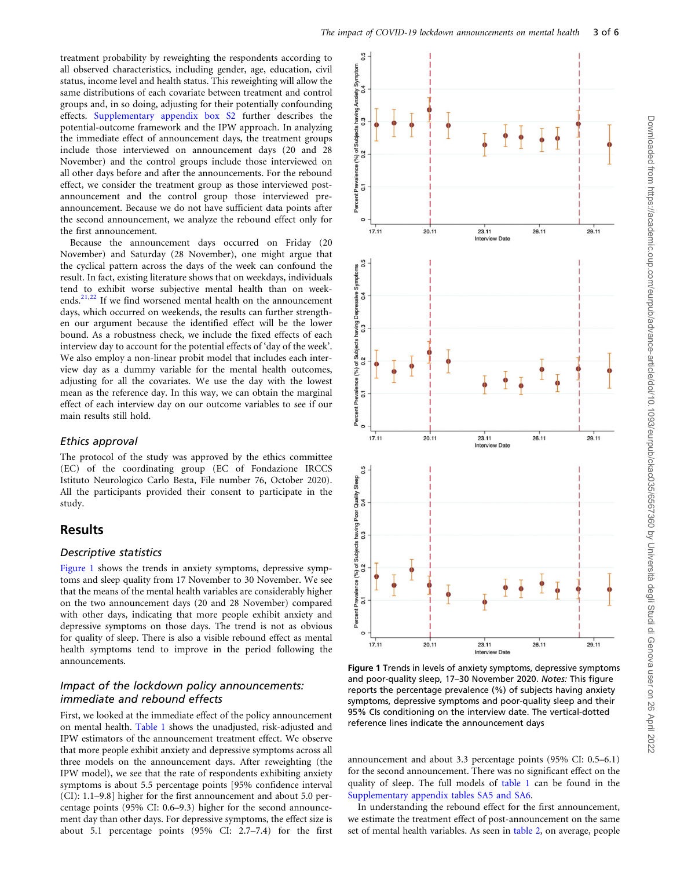<span id="page-2-0"></span>treatment probability by reweighting the respondents according to all observed characteristics, including gender, age, education, civil status, income level and health status. This reweighting will allow the same distributions of each covariate between treatment and control groups and, in so doing, adjusting for their potentially confounding effects. [Supplementary appendix box S2](https://academic.oup.com/eurpub/article-lookup/doi/10.1093/eurpub/ckac035#supplementary-data) further describes the potential-outcome framework and the IPW approach. In analyzing the immediate effect of announcement days, the treatment groups include those interviewed on announcement days (20 and 28 November) and the control groups include those interviewed on all other days before and after the announcements. For the rebound effect, we consider the treatment group as those interviewed postannouncement and the control group those interviewed preannouncement. Because we do not have sufficient data points after the second announcement, we analyze the rebound effect only for the first announcement.

Because the announcement days occurred on Friday (20 November) and Saturday (28 November), one might argue that the cyclical pattern across the days of the week can confound the result. In fact, existing literature shows that on weekdays, individuals tend to exhibit worse subjective mental health than on week-ends.<sup>[21,22](#page-5-0)</sup> If we find worsened mental health on the announcement days, which occurred on weekends, the results can further strengthen our argument because the identified effect will be the lower bound. As a robustness check, we include the fixed effects of each interview day to account for the potential effects of 'day of the week'. We also employ a non-linear probit model that includes each interview day as a dummy variable for the mental health outcomes, adjusting for all the covariates. We use the day with the lowest mean as the reference day. In this way, we can obtain the marginal effect of each interview day on our outcome variables to see if our main results still hold.

#### Ethics approval

The protocol of the study was approved by the ethics committee (EC) of the coordinating group (EC of Fondazione IRCCS Istituto Neurologico Carlo Besta, File number 76, October 2020). All the participants provided their consent to participate in the study.

## Results

#### Descriptive statistics

Figure 1 shows the trends in anxiety symptoms, depressive symptoms and sleep quality from 17 November to 30 November. We see that the means of the mental health variables are considerably higher on the two announcement days (20 and 28 November) compared with other days, indicating that more people exhibit anxiety and depressive symptoms on those days. The trend is not as obvious for quality of sleep. There is also a visible rebound effect as mental health symptoms tend to improve in the period following the announcements.

### Impact of the lockdown policy announcements: immediate and rebound effects

First, we looked at the immediate effect of the policy announcement on mental health. [Table 1](#page-3-0) shows the unadjusted, risk-adjusted and IPW estimators of the announcement treatment effect. We observe that more people exhibit anxiety and depressive symptoms across all three models on the announcement days. After reweighting (the IPW model), we see that the rate of respondents exhibiting anxiety symptoms is about 5.5 percentage points [95% confidence interval (CI): 1.1–9.8] higher for the first announcement and about 5.0 percentage points (95% CI: 0.6–9.3) higher for the second announcement day than other days. For depressive symptoms, the effect size is about 5.1 percentage points (95% CI: 2.7–7.4) for the first



Figure 1 Trends in levels of anxiety symptoms, depressive symptoms and poor-quality sleep, 17–30 November 2020. Notes: This figure reports the percentage prevalence (%) of subjects having anxiety symptoms, depressive symptoms and poor-quality sleep and their 95% CIs conditioning on the interview date. The vertical-dotted reference lines indicate the announcement days

announcement and about 3.3 percentage points (95% CI: 0.5–6.1) for the second announcement. There was no significant effect on the quality of sleep. The full models of [table 1](#page-3-0) can be found in the [Supplementary appendix tables SA5 and SA6.](https://academic.oup.com/eurpub/article-lookup/doi/10.1093/eurpub/ckac035#supplementary-data)

In understanding the rebound effect for the first announcement, we estimate the treatment effect of post-announcement on the same set of mental health variables. As seen in [table 2,](#page-3-0) on average, people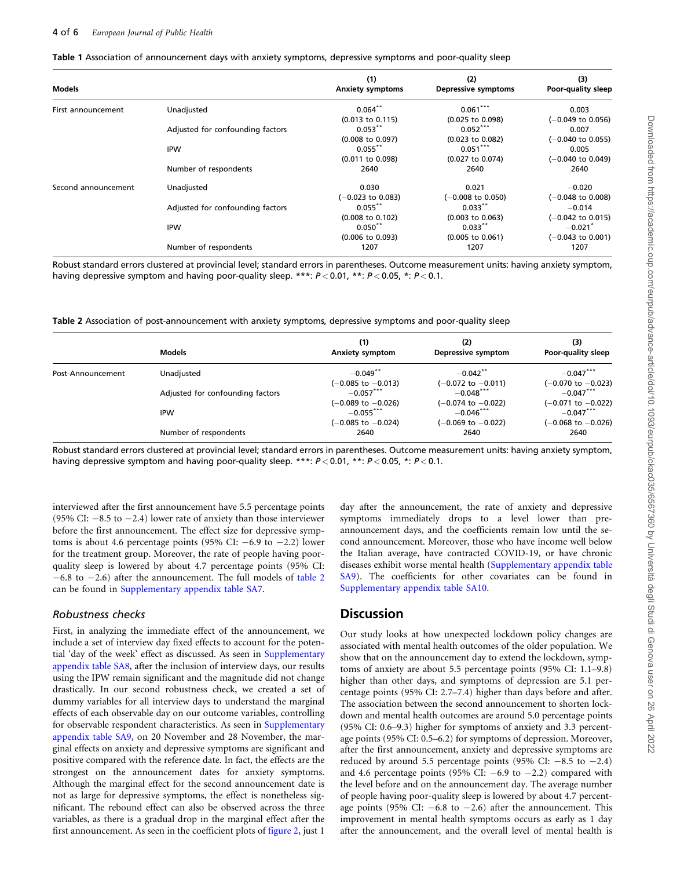<span id="page-3-0"></span>

| Table 1 Association of announcement days with anxiety symptoms, depressive symptoms and poor-quality sleep |  |  |  |  |
|------------------------------------------------------------------------------------------------------------|--|--|--|--|
|------------------------------------------------------------------------------------------------------------|--|--|--|--|

| Models              |                                  | (1)<br><b>Anxiety symptoms</b> | (2)<br>Depressive symptoms   | (3)<br>Poor-quality sleep    |
|---------------------|----------------------------------|--------------------------------|------------------------------|------------------------------|
| First announcement  | Unadjusted                       | $0.064$ **                     | $0.061***$                   | 0.003                        |
|                     |                                  | $(0.013 \text{ to } 0.115)$    | $(0.025$ to $0.098)$         | $(-0.049$ to 0.056)          |
|                     | Adjusted for confounding factors | $0.053***$                     | $0.052***$                   | 0.007                        |
|                     |                                  | $(0.008 \text{ to } 0.097)$    | (0.023 to 0.082)             | $(-0.040 \text{ to } 0.055)$ |
|                     | <b>IPW</b>                       | $0.055$ **                     | $0.051***$                   | 0.005                        |
|                     |                                  | $(0.011$ to $0.098)$           | (0.027 to 0.074)             | $(-0.040 \text{ to } 0.049)$ |
|                     | Number of respondents            | 2640                           | 2640                         | 2640                         |
| Second announcement | Unadjusted                       | 0.030                          | 0.021                        | $-0.020$                     |
|                     |                                  | $(-0.023$ to 0.083)            | $(-0.008 \text{ to } 0.050)$ | $(-0.048 \text{ to } 0.008)$ |
|                     | Adjusted for confounding factors | $0.055$ **                     | $0.033**$                    | $-0.014$                     |
|                     |                                  | $(0.008 \text{ to } 0.102)$    | $(0.003$ to $0.063)$         | $(-0.042 \text{ to } 0.015)$ |
|                     | <b>IPW</b>                       | $0.050$ *'                     | $0.033***$                   | $-0.021$ <sup>*</sup>        |
|                     |                                  | $(0.006 \text{ to } 0.093)$    | $(0.005 \text{ to } 0.061)$  | $(-0.043 \text{ to } 0.001)$ |
|                     | Number of respondents            | 1207                           | 1207                         | 1207                         |

Robust standard errors clustered at provincial level; standard errors in parentheses. Outcome measurement units: having anxiety symptom, having depressive symptom and having poor-quality sleep. \*\*\*:  $P < 0.01$ , \*\*:  $P < 0.05$ , \*:  $P < 0.1$ .

Table 2 Association of post-announcement with anxiety symptoms, depressive symptoms and poor-quality sleep

|                                                                                                            | <b>Models</b> | (1)<br><b>Anxiety symptom</b>     | (2)<br>Depressive symptom          | (3)<br>Poor-quality sleep             |
|------------------------------------------------------------------------------------------------------------|---------------|-----------------------------------|------------------------------------|---------------------------------------|
| Unadjusted<br>Post-Announcement<br>Adjusted for confounding factors<br><b>IPW</b><br>Number of respondents |               | $-0.049$ <sup>**</sup>            | $-0.042$ **                        | $-0.047***$                           |
|                                                                                                            |               | (-0.085 to -0.013)<br>$-0.057***$ | (-0.072 to -0.011)<br>$-0.048***$  | (–0.070 to –0.023)<br>$-0.047***$     |
|                                                                                                            |               | (-0.089 to -0.026)<br>$-0.055***$ | (-0.074 to -0.022)<br>$-0.046$ *** | $(-0.071$ to $-0.022)$<br>$-0.047***$ |
|                                                                                                            |               | (-0.085 to -0.024)<br>2640        | $(-0.069$ to $-0.022)$<br>2640     | (–0.068 to –0.026)<br>2640            |

Robust standard errors clustered at provincial level; standard errors in parentheses. Outcome measurement units: having anxiety symptom, having depressive symptom and having poor-quality sleep. \*\*\*:  $P < 0.01$ , \*\*:  $P < 0.05$ , \*:  $P < 0.1$ .

interviewed after the first announcement have 5.5 percentage points (95% CI:  $-8.5$  to  $-2.4$ ) lower rate of anxiety than those interviewer before the first announcement. The effect size for depressive symptoms is about 4.6 percentage points (95% CI:  $-6.9$  to  $-2.2$ ) lower for the treatment group. Moreover, the rate of people having poorquality sleep is lowered by about 4.7 percentage points (95% CI:  $-6.8$  to  $-2.6$ ) after the announcement. The full models of table 2 can be found in [Supplementary appendix table SA7.](https://academic.oup.com/eurpub/article-lookup/doi/10.1093/eurpub/ckac035#supplementary-data)

#### Robustness checks

First, in analyzing the immediate effect of the announcement, we include a set of interview day fixed effects to account for the potential 'day of the week' effect as discussed. As seen in [Supplementary](https://academic.oup.com/eurpub/article-lookup/doi/10.1093/eurpub/ckac035#supplementary-data) [appendix table SA8,](https://academic.oup.com/eurpub/article-lookup/doi/10.1093/eurpub/ckac035#supplementary-data) after the inclusion of interview days, our results using the IPW remain significant and the magnitude did not change drastically. In our second robustness check, we created a set of dummy variables for all interview days to understand the marginal effects of each observable day on our outcome variables, controlling for observable respondent characteristics. As seen in [Supplementary](https://academic.oup.com/eurpub/article-lookup/doi/10.1093/eurpub/ckac035#supplementary-data) [appendix table SA9,](https://academic.oup.com/eurpub/article-lookup/doi/10.1093/eurpub/ckac035#supplementary-data) on 20 November and 28 November, the marginal effects on anxiety and depressive symptoms are significant and positive compared with the reference date. In fact, the effects are the strongest on the announcement dates for anxiety symptoms. Although the marginal effect for the second announcement date is not as large for depressive symptoms, the effect is nonetheless significant. The rebound effect can also be observed across the three variables, as there is a gradual drop in the marginal effect after the first announcement. As seen in the coefficient plots of [figure 2,](#page-4-0) just 1

day after the announcement, the rate of anxiety and depressive symptoms immediately drops to a level lower than preannouncement days, and the coefficients remain low until the second announcement. Moreover, those who have income well below the Italian average, have contracted COVID-19, or have chronic diseases exhibit worse mental health ([Supplementary appendix table](https://academic.oup.com/eurpub/article-lookup/doi/10.1093/eurpub/ckac035#supplementary-data) [SA9](https://academic.oup.com/eurpub/article-lookup/doi/10.1093/eurpub/ckac035#supplementary-data)). The coefficients for other covariates can be found in [Supplementary appendix table SA10](https://academic.oup.com/eurpub/article-lookup/doi/10.1093/eurpub/ckac035#supplementary-data).

## **Discussion**

Our study looks at how unexpected lockdown policy changes are associated with mental health outcomes of the older population. We show that on the announcement day to extend the lockdown, symptoms of anxiety are about 5.5 percentage points (95% CI: 1.1–9.8) higher than other days, and symptoms of depression are 5.1 percentage points (95% CI: 2.7–7.4) higher than days before and after. The association between the second announcement to shorten lockdown and mental health outcomes are around 5.0 percentage points (95% CI: 0.6–9.3) higher for symptoms of anxiety and 3.3 percentage points (95% CI: 0.5–6.2) for symptoms of depression. Moreover, after the first announcement, anxiety and depressive symptoms are reduced by around 5.5 percentage points (95% CI:  $-8.5$  to  $-2.4$ ) and 4.6 percentage points (95% CI:  $-6.9$  to  $-2.2$ ) compared with the level before and on the announcement day. The average number of people having poor-quality sleep is lowered by about 4.7 percentage points (95% CI:  $-6.8$  to  $-2.6$ ) after the announcement. This improvement in mental health symptoms occurs as early as 1 day after the announcement, and the overall level of mental health is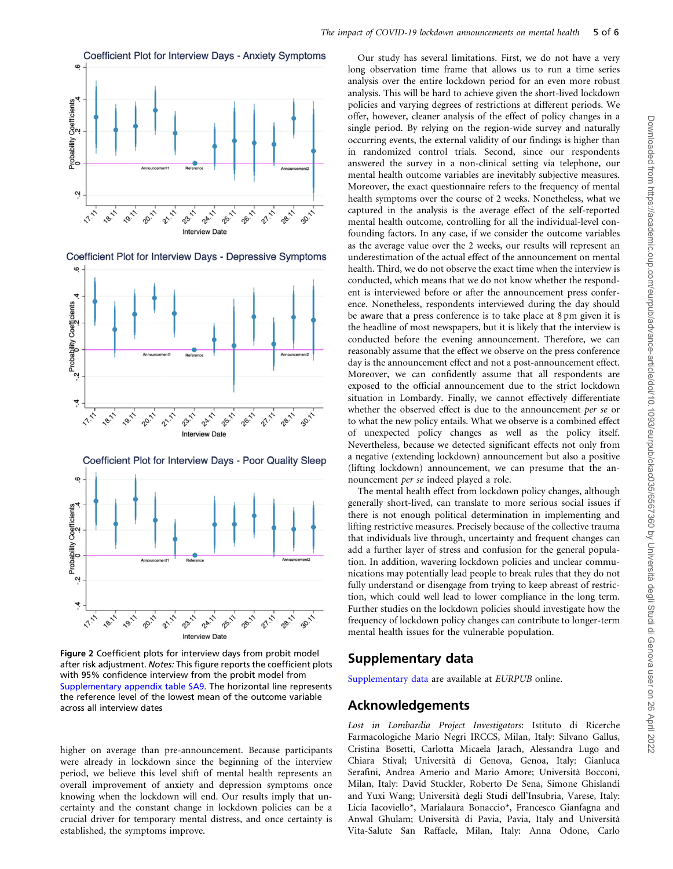<span id="page-4-0"></span>

Coefficient Plot for Interview Days - Depressive Symptoms





Figure 2 Coefficient plots for interview days from probit model after risk adjustment. Notes: This figure reports the coefficient plots with 95% confidence interview from the probit model from [Supplementary appendix table SA9.](https://academic.oup.com/eurpub/article-lookup/doi/10.1093/eurpub/ckac035#supplementary-data) The horizontal line represents the reference level of the lowest mean of the outcome variable across all interview dates

higher on average than pre-announcement. Because participants were already in lockdown since the beginning of the interview period, we believe this level shift of mental health represents an overall improvement of anxiety and depression symptoms once knowing when the lockdown will end. Our results imply that uncertainty and the constant change in lockdown policies can be a crucial driver for temporary mental distress, and once certainty is established, the symptoms improve.

Our study has several limitations. First, we do not have a very long observation time frame that allows us to run a time series analysis over the entire lockdown period for an even more robust analysis. This will be hard to achieve given the short-lived lockdown policies and varying degrees of restrictions at different periods. We offer, however, cleaner analysis of the effect of policy changes in a single period. By relying on the region-wide survey and naturally occurring events, the external validity of our findings is higher than in randomized control trials. Second, since our respondents answered the survey in a non-clinical setting via telephone, our mental health outcome variables are inevitably subjective measures. Moreover, the exact questionnaire refers to the frequency of mental health symptoms over the course of 2 weeks. Nonetheless, what we captured in the analysis is the average effect of the self-reported mental health outcome, controlling for all the individual-level confounding factors. In any case, if we consider the outcome variables as the average value over the 2 weeks, our results will represent an underestimation of the actual effect of the announcement on mental health. Third, we do not observe the exact time when the interview is conducted, which means that we do not know whether the respondent is interviewed before or after the announcement press conference. Nonetheless, respondents interviewed during the day should be aware that a press conference is to take place at 8 pm given it is the headline of most newspapers, but it is likely that the interview is conducted before the evening announcement. Therefore, we can reasonably assume that the effect we observe on the press conference day is the announcement effect and not a post-announcement effect. Moreover, we can confidently assume that all respondents are exposed to the official announcement due to the strict lockdown situation in Lombardy. Finally, we cannot effectively differentiate whether the observed effect is due to the announcement per se or to what the new policy entails. What we observe is a combined effect of unexpected policy changes as well as the policy itself. Nevertheless, because we detected significant effects not only from a negative (extending lockdown) announcement but also a positive (lifting lockdown) announcement, we can presume that the announcement per se indeed played a role.

The mental health effect from lockdown policy changes, although generally short-lived, can translate to more serious social issues if there is not enough political determination in implementing and lifting restrictive measures. Precisely because of the collective trauma that individuals live through, uncertainty and frequent changes can add a further layer of stress and confusion for the general population. In addition, wavering lockdown policies and unclear communications may potentially lead people to break rules that they do not fully understand or disengage from trying to keep abreast of restriction, which could well lead to lower compliance in the long term. Further studies on the lockdown policies should investigate how the frequency of lockdown policy changes can contribute to longer-term mental health issues for the vulnerable population.

## Supplementary data

[Supplementary data](https://academic.oup.com/eurpub/article-lookup/doi/10.1093/eurpub/ckac035#supplementary-data) are available at EURPUB online.

## Acknowledgements

Lost in Lombardia Project Investigators: Istituto di Ricerche Farmacologiche Mario Negri IRCCS, Milan, Italy: Silvano Gallus, Cristina Bosetti, Carlotta Micaela Jarach, Alessandra Lugo and Chiara Stival; Universita` di Genova, Genoa, Italy: Gianluca Serafini, Andrea Amerio and Mario Amore; Universita` Bocconi, Milan, Italy: David Stuckler, Roberto De Sena, Simone Ghislandi and Yuxi Wang; Universita` degli Studi dell'Insubria, Varese, Italy: Licia Iacoviello\*, Marialaura Bonaccio\*, Francesco Gianfagna and Anwal Ghulam; Universita` di Pavia, Pavia, Italy and Universita` Vita-Salute San Raffaele, Milan, Italy: Anna Odone, Carlo